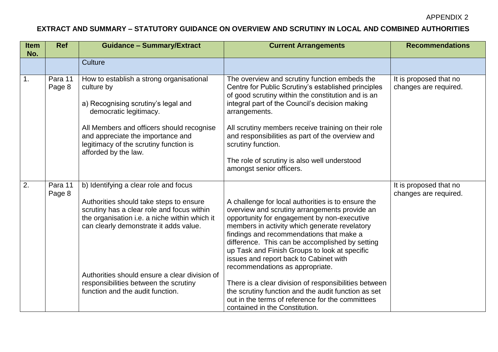APPENDIX 2

## **EXTRACT AND SUMMARY – STATUTORY GUIDANCE ON OVERVIEW AND SCRUTINY IN LOCAL AND COMBINED AUTHORITIES**

| <b>Item</b><br>No. | <b>Ref</b>        | <b>Guidance - Summary/Extract</b>                                                                                                                                                                                                                                                                                                                       | <b>Current Arrangements</b>                                                                                                                                                                                                                                                                                                                                                                                                                                                                                                                                                                                                            | <b>Recommendations</b>                          |
|--------------------|-------------------|---------------------------------------------------------------------------------------------------------------------------------------------------------------------------------------------------------------------------------------------------------------------------------------------------------------------------------------------------------|----------------------------------------------------------------------------------------------------------------------------------------------------------------------------------------------------------------------------------------------------------------------------------------------------------------------------------------------------------------------------------------------------------------------------------------------------------------------------------------------------------------------------------------------------------------------------------------------------------------------------------------|-------------------------------------------------|
|                    |                   | <b>Culture</b>                                                                                                                                                                                                                                                                                                                                          |                                                                                                                                                                                                                                                                                                                                                                                                                                                                                                                                                                                                                                        |                                                 |
| $\mathbf{1}$ .     | Para 11<br>Page 8 | How to establish a strong organisational<br>culture by<br>a) Recognising scrutiny's legal and<br>democratic legitimacy.<br>All Members and officers should recognise<br>and appreciate the importance and<br>legitimacy of the scrutiny function is<br>afforded by the law.                                                                             | The overview and scrutiny function embeds the<br>Centre for Public Scrutiny's established principles<br>of good scrutiny within the constitution and is an<br>integral part of the Council's decision making<br>arrangements.<br>All scrutiny members receive training on their role<br>and responsibilities as part of the overview and<br>scrutiny function.<br>The role of scrutiny is also well understood<br>amongst senior officers.                                                                                                                                                                                             | It is proposed that no<br>changes are required. |
| 2.                 | Para 11<br>Page 8 | b) Identifying a clear role and focus<br>Authorities should take steps to ensure<br>scrutiny has a clear role and focus within<br>the organisation i.e. a niche within which it<br>can clearly demonstrate it adds value.<br>Authorities should ensure a clear division of<br>responsibilities between the scrutiny<br>function and the audit function. | A challenge for local authorities is to ensure the<br>overview and scrutiny arrangements provide an<br>opportunity for engagement by non-executive<br>members in activity which generate revelatory<br>findings and recommendations that make a<br>difference. This can be accomplished by setting<br>up Task and Finish Groups to look at specific<br>issues and report back to Cabinet with<br>recommendations as appropriate.<br>There is a clear division of responsibilities between<br>the scrutiny function and the audit function as set<br>out in the terms of reference for the committees<br>contained in the Constitution. | It is proposed that no<br>changes are required. |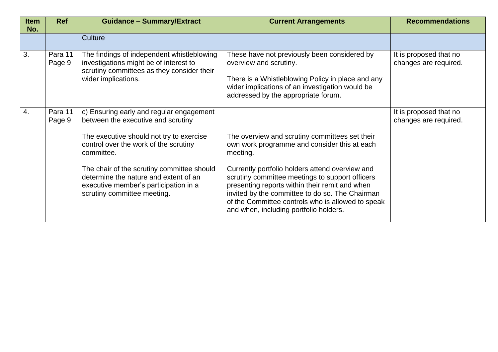| <b>Item</b><br>No. | <b>Ref</b>        | <b>Guidance - Summary/Extract</b>                                                                                                                                                                                                                                                                                                                | <b>Current Arrangements</b>                                                                                                                                                                                                                                                                                                                                                                                          | <b>Recommendations</b>                          |
|--------------------|-------------------|--------------------------------------------------------------------------------------------------------------------------------------------------------------------------------------------------------------------------------------------------------------------------------------------------------------------------------------------------|----------------------------------------------------------------------------------------------------------------------------------------------------------------------------------------------------------------------------------------------------------------------------------------------------------------------------------------------------------------------------------------------------------------------|-------------------------------------------------|
|                    |                   | Culture                                                                                                                                                                                                                                                                                                                                          |                                                                                                                                                                                                                                                                                                                                                                                                                      |                                                 |
| 3.                 | Para 11<br>Page 9 | The findings of independent whistleblowing<br>investigations might be of interest to<br>scrutiny committees as they consider their<br>wider implications.                                                                                                                                                                                        | These have not previously been considered by<br>overview and scrutiny.<br>There is a Whistleblowing Policy in place and any<br>wider implications of an investigation would be<br>addressed by the appropriate forum.                                                                                                                                                                                                | It is proposed that no<br>changes are required. |
| 4.                 | Para 11<br>Page 9 | c) Ensuring early and regular engagement<br>between the executive and scrutiny<br>The executive should not try to exercise<br>control over the work of the scrutiny<br>committee.<br>The chair of the scrutiny committee should<br>determine the nature and extent of an<br>executive member's participation in a<br>scrutiny committee meeting. | The overview and scrutiny committees set their<br>own work programme and consider this at each<br>meeting.<br>Currently portfolio holders attend overview and<br>scrutiny committee meetings to support officers<br>presenting reports within their remit and when<br>invited by the committee to do so. The Chairman<br>of the Committee controls who is allowed to speak<br>and when, including portfolio holders. | It is proposed that no<br>changes are required. |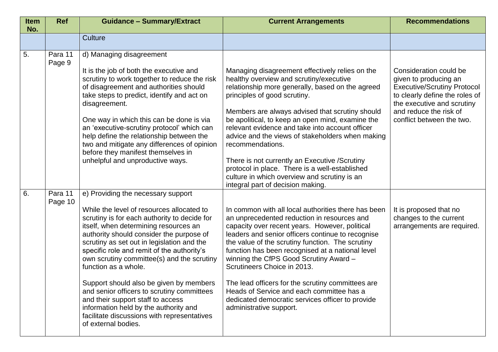| <b>Item</b><br>No. | <b>Ref</b>         | <b>Guidance - Summary/Extract</b>                                                                                                                                                                                                                                                                                                                                                                                                                                                                                                                                                                                                   | <b>Current Arrangements</b>                                                                                                                                                                                                                                                                                                                                                                                                                                                                                                                                                                               | <b>Recommendations</b>                                                                                                                                                                                       |
|--------------------|--------------------|-------------------------------------------------------------------------------------------------------------------------------------------------------------------------------------------------------------------------------------------------------------------------------------------------------------------------------------------------------------------------------------------------------------------------------------------------------------------------------------------------------------------------------------------------------------------------------------------------------------------------------------|-----------------------------------------------------------------------------------------------------------------------------------------------------------------------------------------------------------------------------------------------------------------------------------------------------------------------------------------------------------------------------------------------------------------------------------------------------------------------------------------------------------------------------------------------------------------------------------------------------------|--------------------------------------------------------------------------------------------------------------------------------------------------------------------------------------------------------------|
|                    |                    | Culture                                                                                                                                                                                                                                                                                                                                                                                                                                                                                                                                                                                                                             |                                                                                                                                                                                                                                                                                                                                                                                                                                                                                                                                                                                                           |                                                                                                                                                                                                              |
| 5.                 | Para 11<br>Page 9  | d) Managing disagreement<br>It is the job of both the executive and<br>scrutiny to work together to reduce the risk<br>of disagreement and authorities should<br>take steps to predict, identify and act on<br>disagreement.<br>One way in which this can be done is via<br>an 'executive-scrutiny protocol' which can<br>help define the relationship between the<br>two and mitigate any differences of opinion<br>before they manifest themselves in<br>unhelpful and unproductive ways.                                                                                                                                         | Managing disagreement effectively relies on the<br>healthy overview and scrutiny/executive<br>relationship more generally, based on the agreed<br>principles of good scrutiny.<br>Members are always advised that scrutiny should<br>be apolitical, to keep an open mind, examine the<br>relevant evidence and take into account officer<br>advice and the views of stakeholders when making<br>recommendations.<br>There is not currently an Executive / Scrutiny<br>protocol in place. There is a well-established<br>culture in which overview and scrutiny is an<br>integral part of decision making. | Consideration could be<br>given to producing an<br><b>Executive/Scrutiny Protocol</b><br>to clearly define the roles of<br>the executive and scrutiny<br>and reduce the risk of<br>conflict between the two. |
| 6.                 | Para 11<br>Page 10 | e) Providing the necessary support<br>While the level of resources allocated to<br>scrutiny is for each authority to decide for<br>itself, when determining resources an<br>authority should consider the purpose of<br>scrutiny as set out in legislation and the<br>specific role and remit of the authority's<br>own scrutiny committee(s) and the scrutiny<br>function as a whole.<br>Support should also be given by members<br>and senior officers to scrutiny committees<br>and their support staff to access<br>information held by the authority and<br>facilitate discussions with representatives<br>of external bodies. | In common with all local authorities there has been<br>an unprecedented reduction in resources and<br>capacity over recent years. However, political<br>leaders and senior officers continue to recognise<br>the value of the scrutiny function. The scrutiny<br>function has been recognised at a national level<br>winning the CfPS Good Scrutiny Award -<br>Scrutineers Choice in 2013.<br>The lead officers for the scrutiny committees are<br>Heads of Service and each committee has a<br>dedicated democratic services officer to provide<br>administrative support.                               | It is proposed that no<br>changes to the current<br>arrangements are required.                                                                                                                               |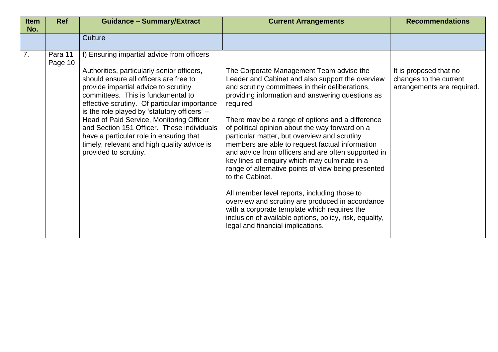| <b>Item</b><br>No. | <b>Ref</b>         | <b>Guidance - Summary/Extract</b>                                                                                                                                                                                                                                                                                                                                                                                                                                                                                             | <b>Current Arrangements</b>                                                                                                                                                                                                                                                                                                                                                                                                                                                                                                                                                                                                                                                                                                                                                                                                                                      | <b>Recommendations</b>                                                         |
|--------------------|--------------------|-------------------------------------------------------------------------------------------------------------------------------------------------------------------------------------------------------------------------------------------------------------------------------------------------------------------------------------------------------------------------------------------------------------------------------------------------------------------------------------------------------------------------------|------------------------------------------------------------------------------------------------------------------------------------------------------------------------------------------------------------------------------------------------------------------------------------------------------------------------------------------------------------------------------------------------------------------------------------------------------------------------------------------------------------------------------------------------------------------------------------------------------------------------------------------------------------------------------------------------------------------------------------------------------------------------------------------------------------------------------------------------------------------|--------------------------------------------------------------------------------|
|                    |                    | <b>Culture</b>                                                                                                                                                                                                                                                                                                                                                                                                                                                                                                                |                                                                                                                                                                                                                                                                                                                                                                                                                                                                                                                                                                                                                                                                                                                                                                                                                                                                  |                                                                                |
| 7.                 | Para 11<br>Page 10 | f) Ensuring impartial advice from officers<br>Authorities, particularly senior officers,<br>should ensure all officers are free to<br>provide impartial advice to scrutiny<br>committees. This is fundamental to<br>effective scrutiny. Of particular importance<br>is the role played by 'statutory officers' -<br>Head of Paid Service, Monitoring Officer<br>and Section 151 Officer. These individuals<br>have a particular role in ensuring that<br>timely, relevant and high quality advice is<br>provided to scrutiny. | The Corporate Management Team advise the<br>Leader and Cabinet and also support the overview<br>and scrutiny committees in their deliberations,<br>providing information and answering questions as<br>required.<br>There may be a range of options and a difference<br>of political opinion about the way forward on a<br>particular matter, but overview and scrutiny<br>members are able to request factual information<br>and advice from officers and are often supported in<br>key lines of enquiry which may culminate in a<br>range of alternative points of view being presented<br>to the Cabinet.<br>All member level reports, including those to<br>overview and scrutiny are produced in accordance<br>with a corporate template which requires the<br>inclusion of available options, policy, risk, equality,<br>legal and financial implications. | It is proposed that no<br>changes to the current<br>arrangements are required. |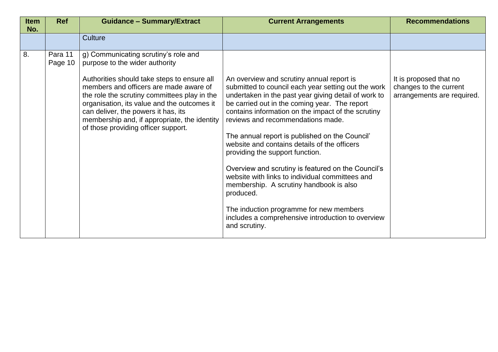| <b>Item</b><br>No. | <b>Ref</b>         | <b>Guidance - Summary/Extract</b>                                                                                                                                                                                                                                                                                                                                                            | <b>Current Arrangements</b>                                                                                                                                                                                                                                                                                                                                                                                                                                                                                                                                                                                                                                                                                                 | <b>Recommendations</b>                                                         |
|--------------------|--------------------|----------------------------------------------------------------------------------------------------------------------------------------------------------------------------------------------------------------------------------------------------------------------------------------------------------------------------------------------------------------------------------------------|-----------------------------------------------------------------------------------------------------------------------------------------------------------------------------------------------------------------------------------------------------------------------------------------------------------------------------------------------------------------------------------------------------------------------------------------------------------------------------------------------------------------------------------------------------------------------------------------------------------------------------------------------------------------------------------------------------------------------------|--------------------------------------------------------------------------------|
|                    |                    | Culture                                                                                                                                                                                                                                                                                                                                                                                      |                                                                                                                                                                                                                                                                                                                                                                                                                                                                                                                                                                                                                                                                                                                             |                                                                                |
| 8.                 | Para 11<br>Page 10 | g) Communicating scrutiny's role and<br>purpose to the wider authority<br>Authorities should take steps to ensure all<br>members and officers are made aware of<br>the role the scrutiny committees play in the<br>organisation, its value and the outcomes it<br>can deliver, the powers it has, its<br>membership and, if appropriate, the identity<br>of those providing officer support. | An overview and scrutiny annual report is<br>submitted to council each year setting out the work<br>undertaken in the past year giving detail of work to<br>be carried out in the coming year. The report<br>contains information on the impact of the scrutiny<br>reviews and recommendations made.<br>The annual report is published on the Council'<br>website and contains details of the officers<br>providing the support function.<br>Overview and scrutiny is featured on the Council's<br>website with links to individual committees and<br>membership. A scrutiny handbook is also<br>produced.<br>The induction programme for new members<br>includes a comprehensive introduction to overview<br>and scrutiny. | It is proposed that no<br>changes to the current<br>arrangements are required. |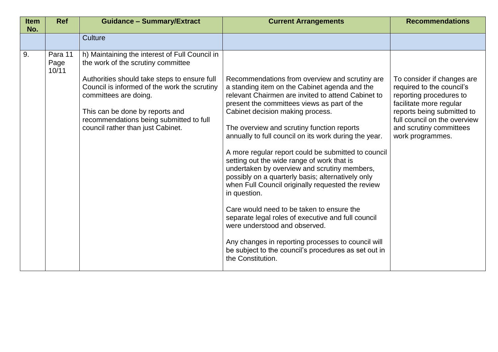| <b>Item</b><br>No. | <b>Ref</b>               | <b>Guidance - Summary/Extract</b>                                                                                                                                                                   | <b>Current Arrangements</b>                                                                                                                                                                                                                                                 | <b>Recommendations</b>                                                                                                                                                      |
|--------------------|--------------------------|-----------------------------------------------------------------------------------------------------------------------------------------------------------------------------------------------------|-----------------------------------------------------------------------------------------------------------------------------------------------------------------------------------------------------------------------------------------------------------------------------|-----------------------------------------------------------------------------------------------------------------------------------------------------------------------------|
|                    |                          | <b>Culture</b>                                                                                                                                                                                      |                                                                                                                                                                                                                                                                             |                                                                                                                                                                             |
| 9.                 | Para 11<br>Page<br>10/11 | h) Maintaining the interest of Full Council in<br>the work of the scrutiny committee                                                                                                                |                                                                                                                                                                                                                                                                             |                                                                                                                                                                             |
|                    |                          | Authorities should take steps to ensure full<br>Council is informed of the work the scrutiny<br>committees are doing.<br>This can be done by reports and<br>recommendations being submitted to full | Recommendations from overview and scrutiny are<br>a standing item on the Cabinet agenda and the<br>relevant Chairmen are invited to attend Cabinet to<br>present the committees views as part of the<br>Cabinet decision making process.                                    | To consider if changes are<br>required to the council's<br>reporting procedures to<br>facilitate more regular<br>reports being submitted to<br>full council on the overview |
|                    |                          | council rather than just Cabinet.                                                                                                                                                                   | The overview and scrutiny function reports<br>annually to full council on its work during the year.                                                                                                                                                                         | and scrutiny committees<br>work programmes.                                                                                                                                 |
|                    |                          |                                                                                                                                                                                                     | A more regular report could be submitted to council<br>setting out the wide range of work that is<br>undertaken by overview and scrutiny members,<br>possibly on a quarterly basis; alternatively only<br>when Full Council originally requested the review<br>in question. |                                                                                                                                                                             |
|                    |                          |                                                                                                                                                                                                     | Care would need to be taken to ensure the<br>separate legal roles of executive and full council<br>were understood and observed.                                                                                                                                            |                                                                                                                                                                             |
|                    |                          |                                                                                                                                                                                                     | Any changes in reporting processes to council will<br>be subject to the council's procedures as set out in<br>the Constitution.                                                                                                                                             |                                                                                                                                                                             |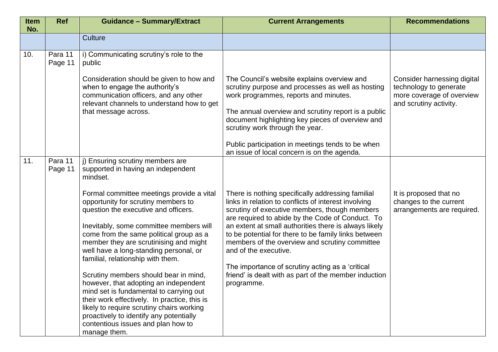| <b>Item</b><br>No. | <b>Ref</b>         | <b>Guidance - Summary/Extract</b>                                                                                                                                                                                                                                                                                                                                                                                                                                                                                                                                                                                                                                                                                                                        | <b>Current Arrangements</b>                                                                                                                                                                                                                                                                                                                                                                                                                                                                                                                                                          | <b>Recommendations</b>                                                                                       |
|--------------------|--------------------|----------------------------------------------------------------------------------------------------------------------------------------------------------------------------------------------------------------------------------------------------------------------------------------------------------------------------------------------------------------------------------------------------------------------------------------------------------------------------------------------------------------------------------------------------------------------------------------------------------------------------------------------------------------------------------------------------------------------------------------------------------|--------------------------------------------------------------------------------------------------------------------------------------------------------------------------------------------------------------------------------------------------------------------------------------------------------------------------------------------------------------------------------------------------------------------------------------------------------------------------------------------------------------------------------------------------------------------------------------|--------------------------------------------------------------------------------------------------------------|
|                    |                    | <b>Culture</b>                                                                                                                                                                                                                                                                                                                                                                                                                                                                                                                                                                                                                                                                                                                                           |                                                                                                                                                                                                                                                                                                                                                                                                                                                                                                                                                                                      |                                                                                                              |
| 10.                | Para 11<br>Page 11 | i) Communicating scrutiny's role to the<br>public                                                                                                                                                                                                                                                                                                                                                                                                                                                                                                                                                                                                                                                                                                        |                                                                                                                                                                                                                                                                                                                                                                                                                                                                                                                                                                                      |                                                                                                              |
|                    |                    | Consideration should be given to how and<br>when to engage the authority's<br>communication officers, and any other<br>relevant channels to understand how to get<br>that message across.                                                                                                                                                                                                                                                                                                                                                                                                                                                                                                                                                                | The Council's website explains overview and<br>scrutiny purpose and processes as well as hosting<br>work programmes, reports and minutes.<br>The annual overview and scrutiny report is a public<br>document highlighting key pieces of overview and<br>scrutiny work through the year.<br>Public participation in meetings tends to be when                                                                                                                                                                                                                                         | Consider harnessing digital<br>technology to generate<br>more coverage of overview<br>and scrutiny activity. |
| 11.                | Para 11<br>Page 11 | j) Ensuring scrutiny members are<br>supported in having an independent<br>mindset.<br>Formal committee meetings provide a vital<br>opportunity for scrutiny members to<br>question the executive and officers.<br>Inevitably, some committee members will<br>come from the same political group as a<br>member they are scrutinising and might<br>well have a long-standing personal, or<br>familial, relationship with them.<br>Scrutiny members should bear in mind,<br>however, that adopting an independent<br>mind set is fundamental to carrying out<br>their work effectively. In practice, this is<br>likely to require scrutiny chairs working<br>proactively to identify any potentially<br>contentious issues and plan how to<br>manage them. | an issue of local concern is on the agenda.<br>There is nothing specifically addressing familial<br>links in relation to conflicts of interest involving<br>scrutiny of executive members, though members<br>are required to abide by the Code of Conduct. To<br>an extent at small authorities there is always likely<br>to be potential for there to be family links between<br>members of the overview and scrutiny committee<br>and of the executive.<br>The importance of scrutiny acting as a 'critical<br>friend' is dealt with as part of the member induction<br>programme. | It is proposed that no<br>changes to the current<br>arrangements are required.                               |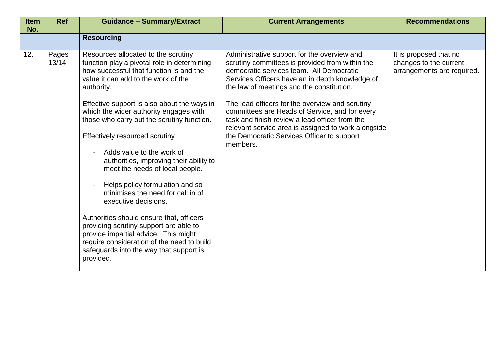| <b>Item</b><br>No. | <b>Ref</b>     | <b>Guidance - Summary/Extract</b>                                                                                                                                                                                                                                                                                                                                                                                                                                                                                                                                                                                                                                                                                                                                                                          | <b>Current Arrangements</b>                                                                                                                                                                                                                                                                                                                                                                                                                                                                                        | <b>Recommendations</b>                                                         |
|--------------------|----------------|------------------------------------------------------------------------------------------------------------------------------------------------------------------------------------------------------------------------------------------------------------------------------------------------------------------------------------------------------------------------------------------------------------------------------------------------------------------------------------------------------------------------------------------------------------------------------------------------------------------------------------------------------------------------------------------------------------------------------------------------------------------------------------------------------------|--------------------------------------------------------------------------------------------------------------------------------------------------------------------------------------------------------------------------------------------------------------------------------------------------------------------------------------------------------------------------------------------------------------------------------------------------------------------------------------------------------------------|--------------------------------------------------------------------------------|
|                    |                | <b>Resourcing</b>                                                                                                                                                                                                                                                                                                                                                                                                                                                                                                                                                                                                                                                                                                                                                                                          |                                                                                                                                                                                                                                                                                                                                                                                                                                                                                                                    |                                                                                |
| 12.                | Pages<br>13/14 | Resources allocated to the scrutiny<br>function play a pivotal role in determining<br>how successful that function is and the<br>value it can add to the work of the<br>authority.<br>Effective support is also about the ways in<br>which the wider authority engages with<br>those who carry out the scrutiny function.<br>Effectively resourced scrutiny<br>Adds value to the work of<br>authorities, improving their ability to<br>meet the needs of local people.<br>Helps policy formulation and so<br>minimises the need for call in of<br>executive decisions.<br>Authorities should ensure that, officers<br>providing scrutiny support are able to<br>provide impartial advice. This might<br>require consideration of the need to build<br>safeguards into the way that support is<br>provided. | Administrative support for the overview and<br>scrutiny committees is provided from within the<br>democratic services team. All Democratic<br>Services Officers have an in depth knowledge of<br>the law of meetings and the constitution.<br>The lead officers for the overview and scrutiny<br>committees are Heads of Service, and for every<br>task and finish review a lead officer from the<br>relevant service area is assigned to work alongside<br>the Democratic Services Officer to support<br>members. | It is proposed that no<br>changes to the current<br>arrangements are required. |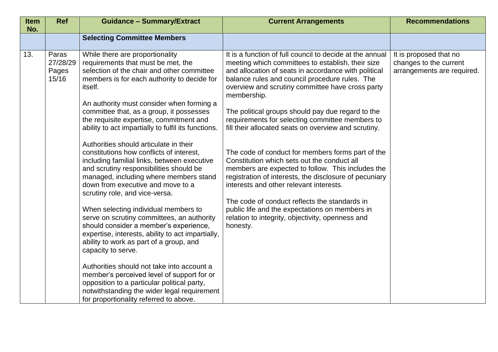| <b>Item</b><br>No. | <b>Ref</b>                          | <b>Guidance - Summary/Extract</b>                                                                                                                                                                                                                                                                                                                                                                                                                                                                                                                                                                                                                                                                                                                                                                                                                                                                                                                                                                                                                                                                                                                                   | <b>Current Arrangements</b>                                                                                                                                                                                                                                                                                                                                                                                                                                                                                                                                                                                                                                                                                                                                                                                                                                                                 | <b>Recommendations</b>                                                         |
|--------------------|-------------------------------------|---------------------------------------------------------------------------------------------------------------------------------------------------------------------------------------------------------------------------------------------------------------------------------------------------------------------------------------------------------------------------------------------------------------------------------------------------------------------------------------------------------------------------------------------------------------------------------------------------------------------------------------------------------------------------------------------------------------------------------------------------------------------------------------------------------------------------------------------------------------------------------------------------------------------------------------------------------------------------------------------------------------------------------------------------------------------------------------------------------------------------------------------------------------------|---------------------------------------------------------------------------------------------------------------------------------------------------------------------------------------------------------------------------------------------------------------------------------------------------------------------------------------------------------------------------------------------------------------------------------------------------------------------------------------------------------------------------------------------------------------------------------------------------------------------------------------------------------------------------------------------------------------------------------------------------------------------------------------------------------------------------------------------------------------------------------------------|--------------------------------------------------------------------------------|
|                    |                                     | <b>Selecting Committee Members</b>                                                                                                                                                                                                                                                                                                                                                                                                                                                                                                                                                                                                                                                                                                                                                                                                                                                                                                                                                                                                                                                                                                                                  |                                                                                                                                                                                                                                                                                                                                                                                                                                                                                                                                                                                                                                                                                                                                                                                                                                                                                             |                                                                                |
| 13.                | Paras<br>27/28/29<br>Pages<br>15/16 | While there are proportionality<br>requirements that must be met, the<br>selection of the chair and other committee<br>members is for each authority to decide for<br>itself.<br>An authority must consider when forming a<br>committee that, as a group, it possesses<br>the requisite expertise, commitment and<br>ability to act impartially to fulfil its functions.<br>Authorities should articulate in their<br>constitutions how conflicts of interest,<br>including familial links, between executive<br>and scrutiny responsibilities should be<br>managed, including where members stand<br>down from executive and move to a<br>scrutiny role, and vice-versa.<br>When selecting individual members to<br>serve on scrutiny committees, an authority<br>should consider a member's experience,<br>expertise, interests, ability to act impartially,<br>ability to work as part of a group, and<br>capacity to serve.<br>Authorities should not take into account a<br>member's perceived level of support for or<br>opposition to a particular political party,<br>notwithstanding the wider legal requirement<br>for proportionality referred to above. | It is a function of full council to decide at the annual<br>meeting which committees to establish, their size<br>and allocation of seats in accordance with political<br>balance rules and council procedure rules. The<br>overview and scrutiny committee have cross party<br>membership.<br>The political groups should pay due regard to the<br>requirements for selecting committee members to<br>fill their allocated seats on overview and scrutiny.<br>The code of conduct for members forms part of the<br>Constitution which sets out the conduct all<br>members are expected to follow. This includes the<br>registration of interests, the disclosure of pecuniary<br>interests and other relevant interests.<br>The code of conduct reflects the standards in<br>public life and the expectations on members in<br>relation to integrity, objectivity, openness and<br>honesty. | It is proposed that no<br>changes to the current<br>arrangements are required. |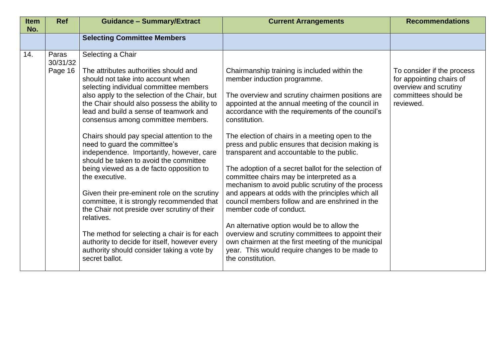| <b>Item</b><br>No. | <b>Ref</b>                   | <b>Guidance - Summary/Extract</b>                                                                                                                                                                                                                                                                                                                                                                                                                                                                                                                                                                                                                                                                                                                                                                                                                                                          | <b>Current Arrangements</b>                                                                                                                                                                                                                                                                                                                                                                                                                                                                                                                                                                                                                                                                                                                                                                                                                                                                                                                  | <b>Recommendations</b>                                                                                               |
|--------------------|------------------------------|--------------------------------------------------------------------------------------------------------------------------------------------------------------------------------------------------------------------------------------------------------------------------------------------------------------------------------------------------------------------------------------------------------------------------------------------------------------------------------------------------------------------------------------------------------------------------------------------------------------------------------------------------------------------------------------------------------------------------------------------------------------------------------------------------------------------------------------------------------------------------------------------|----------------------------------------------------------------------------------------------------------------------------------------------------------------------------------------------------------------------------------------------------------------------------------------------------------------------------------------------------------------------------------------------------------------------------------------------------------------------------------------------------------------------------------------------------------------------------------------------------------------------------------------------------------------------------------------------------------------------------------------------------------------------------------------------------------------------------------------------------------------------------------------------------------------------------------------------|----------------------------------------------------------------------------------------------------------------------|
|                    |                              | <b>Selecting Committee Members</b>                                                                                                                                                                                                                                                                                                                                                                                                                                                                                                                                                                                                                                                                                                                                                                                                                                                         |                                                                                                                                                                                                                                                                                                                                                                                                                                                                                                                                                                                                                                                                                                                                                                                                                                                                                                                                              |                                                                                                                      |
| 14.                | Paras<br>30/31/32<br>Page 16 | Selecting a Chair<br>The attributes authorities should and<br>should not take into account when<br>selecting individual committee members<br>also apply to the selection of the Chair, but<br>the Chair should also possess the ability to<br>lead and build a sense of teamwork and<br>consensus among committee members.<br>Chairs should pay special attention to the<br>need to guard the committee's<br>independence. Importantly, however, care<br>should be taken to avoid the committee<br>being viewed as a de facto opposition to<br>the executive.<br>Given their pre-eminent role on the scrutiny<br>committee, it is strongly recommended that<br>the Chair not preside over scrutiny of their<br>relatives.<br>The method for selecting a chair is for each<br>authority to decide for itself, however every<br>authority should consider taking a vote by<br>secret ballot. | Chairmanship training is included within the<br>member induction programme.<br>The overview and scrutiny chairmen positions are<br>appointed at the annual meeting of the council in<br>accordance with the requirements of the council's<br>constitution.<br>The election of chairs in a meeting open to the<br>press and public ensures that decision making is<br>transparent and accountable to the public.<br>The adoption of a secret ballot for the selection of<br>committee chairs may be interpreted as a<br>mechanism to avoid public scrutiny of the process<br>and appears at odds with the principles which all<br>council members follow and are enshrined in the<br>member code of conduct.<br>An alternative option would be to allow the<br>overview and scrutiny committees to appoint their<br>own chairmen at the first meeting of the municipal<br>year. This would require changes to be made to<br>the constitution. | To consider if the process<br>for appointing chairs of<br>overview and scrutiny<br>committees should be<br>reviewed. |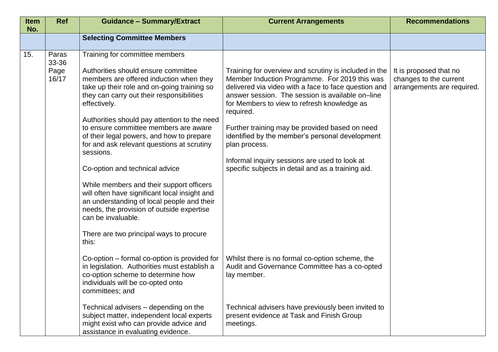| <b>Item</b><br>No. | <b>Ref</b>                      | <b>Guidance - Summary/Extract</b>                                                                                                                                                                                                                                                                                                                                                                                                                                                                                                                                                                                                                                                                                                 | <b>Current Arrangements</b>                                                                                                                                                                                                                                                                                                                                                                                                                                                                                 | <b>Recommendations</b>                                                         |
|--------------------|---------------------------------|-----------------------------------------------------------------------------------------------------------------------------------------------------------------------------------------------------------------------------------------------------------------------------------------------------------------------------------------------------------------------------------------------------------------------------------------------------------------------------------------------------------------------------------------------------------------------------------------------------------------------------------------------------------------------------------------------------------------------------------|-------------------------------------------------------------------------------------------------------------------------------------------------------------------------------------------------------------------------------------------------------------------------------------------------------------------------------------------------------------------------------------------------------------------------------------------------------------------------------------------------------------|--------------------------------------------------------------------------------|
|                    |                                 | <b>Selecting Committee Members</b>                                                                                                                                                                                                                                                                                                                                                                                                                                                                                                                                                                                                                                                                                                |                                                                                                                                                                                                                                                                                                                                                                                                                                                                                                             |                                                                                |
| 15.                | Paras<br>33-36<br>Page<br>16/17 | Training for committee members<br>Authorities should ensure committee<br>members are offered induction when they<br>take up their role and on-going training so<br>they can carry out their responsibilities<br>effectively.<br>Authorities should pay attention to the need<br>to ensure committee members are aware<br>of their legal powers, and how to prepare<br>for and ask relevant questions at scrutiny<br>sessions.<br>Co-option and technical advice<br>While members and their support officers<br>will often have significant local insight and<br>an understanding of local people and their<br>needs, the provision of outside expertise<br>can be invaluable.<br>There are two principal ways to procure<br>this: | Training for overview and scrutiny is included in the<br>Member Induction Programme. For 2019 this was<br>delivered via video with a face to face question and<br>answer session. The session is available on–line<br>for Members to view to refresh knowledge as<br>required.<br>Further training may be provided based on need<br>identified by the member's personal development<br>plan process.<br>Informal inquiry sessions are used to look at<br>specific subjects in detail and as a training aid. | It is proposed that no<br>changes to the current<br>arrangements are required. |
|                    |                                 | Co-option – formal co-option is provided for<br>in legislation. Authorities must establish a<br>co-option scheme to determine how<br>individuals will be co-opted onto<br>committees; and                                                                                                                                                                                                                                                                                                                                                                                                                                                                                                                                         | Whilst there is no formal co-option scheme, the<br>Audit and Governance Committee has a co-opted<br>lay member.                                                                                                                                                                                                                                                                                                                                                                                             |                                                                                |
|                    |                                 | Technical advisers – depending on the<br>subject matter, independent local experts<br>might exist who can provide advice and<br>assistance in evaluating evidence.                                                                                                                                                                                                                                                                                                                                                                                                                                                                                                                                                                | Technical advisers have previously been invited to<br>present evidence at Task and Finish Group<br>meetings.                                                                                                                                                                                                                                                                                                                                                                                                |                                                                                |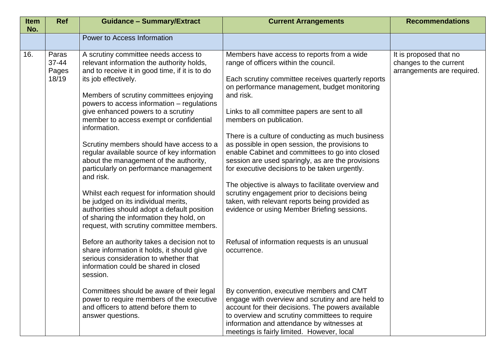| <b>Item</b><br>No. | <b>Ref</b>                           | <b>Guidance - Summary/Extract</b>                                                                                                                                                                                                                                                                                                                                                                                                                                                                                                                                                                                                                                                                                                                                              | <b>Current Arrangements</b>                                                                                                                                                                                                                                                                                                                                                                                                                                                                                                                                                                                                                                                                                                                               | <b>Recommendations</b>                                                         |
|--------------------|--------------------------------------|--------------------------------------------------------------------------------------------------------------------------------------------------------------------------------------------------------------------------------------------------------------------------------------------------------------------------------------------------------------------------------------------------------------------------------------------------------------------------------------------------------------------------------------------------------------------------------------------------------------------------------------------------------------------------------------------------------------------------------------------------------------------------------|-----------------------------------------------------------------------------------------------------------------------------------------------------------------------------------------------------------------------------------------------------------------------------------------------------------------------------------------------------------------------------------------------------------------------------------------------------------------------------------------------------------------------------------------------------------------------------------------------------------------------------------------------------------------------------------------------------------------------------------------------------------|--------------------------------------------------------------------------------|
|                    |                                      | Power to Access Information                                                                                                                                                                                                                                                                                                                                                                                                                                                                                                                                                                                                                                                                                                                                                    |                                                                                                                                                                                                                                                                                                                                                                                                                                                                                                                                                                                                                                                                                                                                                           |                                                                                |
| 16.                | Paras<br>$37 - 44$<br>Pages<br>18/19 | A scrutiny committee needs access to<br>relevant information the authority holds,<br>and to receive it in good time, if it is to do<br>its job effectively.<br>Members of scrutiny committees enjoying<br>powers to access information - regulations<br>give enhanced powers to a scrutiny<br>member to access exempt or confidential<br>information.<br>Scrutiny members should have access to a<br>regular available source of key information<br>about the management of the authority,<br>particularly on performance management<br>and risk.<br>Whilst each request for information should<br>be judged on its individual merits,<br>authorities should adopt a default position<br>of sharing the information they hold, on<br>request, with scrutiny committee members. | Members have access to reports from a wide<br>range of officers within the council.<br>Each scrutiny committee receives quarterly reports<br>on performance management, budget monitoring<br>and risk.<br>Links to all committee papers are sent to all<br>members on publication.<br>There is a culture of conducting as much business<br>as possible in open session, the provisions to<br>enable Cabinet and committees to go into closed<br>session are used sparingly, as are the provisions<br>for executive decisions to be taken urgently.<br>The objective is always to facilitate overview and<br>scrutiny engagement prior to decisions being<br>taken, with relevant reports being provided as<br>evidence or using Member Briefing sessions. | It is proposed that no<br>changes to the current<br>arrangements are required. |
|                    |                                      | Before an authority takes a decision not to<br>share information it holds, it should give<br>serious consideration to whether that<br>information could be shared in closed<br>session.                                                                                                                                                                                                                                                                                                                                                                                                                                                                                                                                                                                        | Refusal of information requests is an unusual<br>occurrence.                                                                                                                                                                                                                                                                                                                                                                                                                                                                                                                                                                                                                                                                                              |                                                                                |
|                    |                                      | Committees should be aware of their legal<br>power to require members of the executive<br>and officers to attend before them to<br>answer questions.                                                                                                                                                                                                                                                                                                                                                                                                                                                                                                                                                                                                                           | By convention, executive members and CMT<br>engage with overview and scrutiny and are held to<br>account for their decisions. The powers available<br>to overview and scrutiny committees to require<br>information and attendance by witnesses at<br>meetings is fairly limited. However, local                                                                                                                                                                                                                                                                                                                                                                                                                                                          |                                                                                |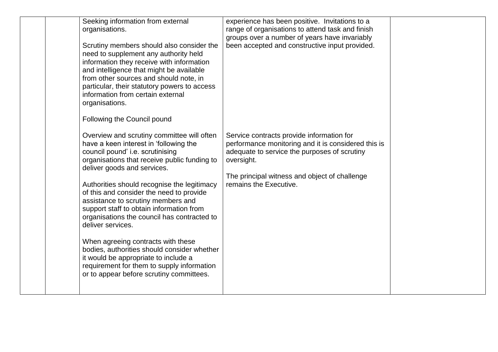| Seeking information from external<br>organisations.<br>Scrutiny members should also consider the<br>need to supplement any authority held<br>information they receive with information<br>and intelligence that might be available<br>from other sources and should note, in<br>particular, their statutory powers to access<br>information from certain external<br>organisations.<br>Following the Council pound                                                                                                                                                                                                                                                              | experience has been positive. Invitations to a<br>range of organisations to attend task and finish<br>groups over a number of years have invariably<br>been accepted and constructive input provided.                                     |  |
|---------------------------------------------------------------------------------------------------------------------------------------------------------------------------------------------------------------------------------------------------------------------------------------------------------------------------------------------------------------------------------------------------------------------------------------------------------------------------------------------------------------------------------------------------------------------------------------------------------------------------------------------------------------------------------|-------------------------------------------------------------------------------------------------------------------------------------------------------------------------------------------------------------------------------------------|--|
| Overview and scrutiny committee will often<br>have a keen interest in 'following the<br>council pound' i.e. scrutinising<br>organisations that receive public funding to<br>deliver goods and services.<br>Authorities should recognise the legitimacy<br>of this and consider the need to provide<br>assistance to scrutiny members and<br>support staff to obtain information from<br>organisations the council has contracted to<br>deliver services.<br>When agreeing contracts with these<br>bodies, authorities should consider whether<br>it would be appropriate to include a<br>requirement for them to supply information<br>or to appear before scrutiny committees. | Service contracts provide information for<br>performance monitoring and it is considered this is<br>adequate to service the purposes of scrutiny<br>oversight.<br>The principal witness and object of challenge<br>remains the Executive. |  |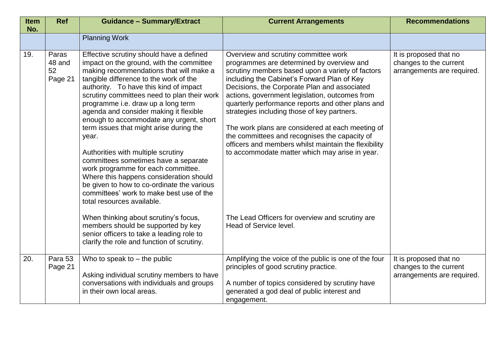| <b>Item</b><br>No. | <b>Ref</b>                       | <b>Guidance - Summary/Extract</b>                                                                                                                                                                                                                                                                                                                                                                                                                                                                                                                                                                                                                                                                                                        | <b>Current Arrangements</b>                                                                                                                                                                                                                                                                                                                                                                                                                                                                                                                                                                               | <b>Recommendations</b>                                                         |
|--------------------|----------------------------------|------------------------------------------------------------------------------------------------------------------------------------------------------------------------------------------------------------------------------------------------------------------------------------------------------------------------------------------------------------------------------------------------------------------------------------------------------------------------------------------------------------------------------------------------------------------------------------------------------------------------------------------------------------------------------------------------------------------------------------------|-----------------------------------------------------------------------------------------------------------------------------------------------------------------------------------------------------------------------------------------------------------------------------------------------------------------------------------------------------------------------------------------------------------------------------------------------------------------------------------------------------------------------------------------------------------------------------------------------------------|--------------------------------------------------------------------------------|
|                    |                                  | <b>Planning Work</b>                                                                                                                                                                                                                                                                                                                                                                                                                                                                                                                                                                                                                                                                                                                     |                                                                                                                                                                                                                                                                                                                                                                                                                                                                                                                                                                                                           |                                                                                |
| 19.                | Paras<br>48 and<br>52<br>Page 21 | Effective scrutiny should have a defined<br>impact on the ground, with the committee<br>making recommendations that will make a<br>tangible difference to the work of the<br>authority. To have this kind of impact<br>scrutiny committees need to plan their work<br>programme i.e. draw up a long term<br>agenda and consider making it flexible<br>enough to accommodate any urgent, short<br>term issues that might arise during the<br>year.<br>Authorities with multiple scrutiny<br>committees sometimes have a separate<br>work programme for each committee.<br>Where this happens consideration should<br>be given to how to co-ordinate the various<br>committees' work to make best use of the<br>total resources available. | Overview and scrutiny committee work<br>programmes are determined by overview and<br>scrutiny members based upon a variety of factors<br>including the Cabinet's Forward Plan of Key<br>Decisions, the Corporate Plan and associated<br>actions, government legislation, outcomes from<br>quarterly performance reports and other plans and<br>strategies including those of key partners.<br>The work plans are considered at each meeting of<br>the committees and recognises the capacity of<br>officers and members whilst maintain the flexibility<br>to accommodate matter which may arise in year. | It is proposed that no<br>changes to the current<br>arrangements are required. |
|                    |                                  | When thinking about scrutiny's focus,<br>members should be supported by key<br>senior officers to take a leading role to<br>clarify the role and function of scrutiny.                                                                                                                                                                                                                                                                                                                                                                                                                                                                                                                                                                   | The Lead Officers for overview and scrutiny are<br>Head of Service level.                                                                                                                                                                                                                                                                                                                                                                                                                                                                                                                                 |                                                                                |
| 20.                | Para 53<br>Page 21               | Who to speak to $-$ the public<br>Asking individual scrutiny members to have<br>conversations with individuals and groups<br>in their own local areas.                                                                                                                                                                                                                                                                                                                                                                                                                                                                                                                                                                                   | Amplifying the voice of the public is one of the four<br>principles of good scrutiny practice.<br>A number of topics considered by scrutiny have<br>generated a god deal of public interest and<br>engagement.                                                                                                                                                                                                                                                                                                                                                                                            | It is proposed that no<br>changes to the current<br>arrangements are required. |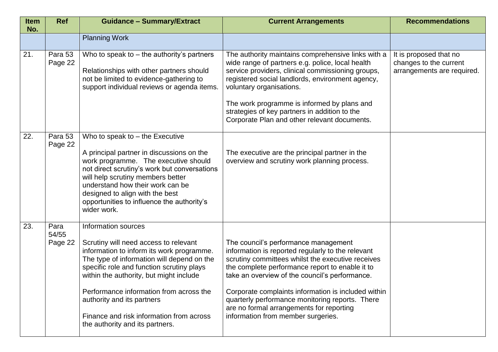| <b>Item</b><br>No. | <b>Ref</b>               | <b>Guidance - Summary/Extract</b>                                                                                                                                                                                                                                                                                                                                                                       | <b>Current Arrangements</b>                                                                                                                                                                                                                                                                                                                                                                                                                     | <b>Recommendations</b>                                                         |
|--------------------|--------------------------|---------------------------------------------------------------------------------------------------------------------------------------------------------------------------------------------------------------------------------------------------------------------------------------------------------------------------------------------------------------------------------------------------------|-------------------------------------------------------------------------------------------------------------------------------------------------------------------------------------------------------------------------------------------------------------------------------------------------------------------------------------------------------------------------------------------------------------------------------------------------|--------------------------------------------------------------------------------|
|                    |                          | <b>Planning Work</b>                                                                                                                                                                                                                                                                                                                                                                                    |                                                                                                                                                                                                                                                                                                                                                                                                                                                 |                                                                                |
| 21.                | Para 53<br>Page 22       | Who to speak to $-$ the authority's partners<br>Relationships with other partners should<br>not be limited to evidence-gathering to<br>support individual reviews or agenda items.                                                                                                                                                                                                                      | The authority maintains comprehensive links with a<br>wide range of partners e.g. police, local health<br>service providers, clinical commissioning groups,<br>registered social landlords, environment agency,<br>voluntary organisations.<br>The work programme is informed by plans and<br>strategies of key partners in addition to the<br>Corporate Plan and other relevant documents.                                                     | It is proposed that no<br>changes to the current<br>arrangements are required. |
| 22.                | Para 53<br>Page 22       | Who to speak to $-$ the Executive<br>A principal partner in discussions on the<br>work programme. The executive should<br>not direct scrutiny's work but conversations<br>will help scrutiny members better<br>understand how their work can be<br>designed to align with the best<br>opportunities to influence the authority's<br>wider work.                                                         | The executive are the principal partner in the<br>overview and scrutiny work planning process.                                                                                                                                                                                                                                                                                                                                                  |                                                                                |
| 23.                | Para<br>54/55<br>Page 22 | Information sources<br>Scrutiny will need access to relevant<br>information to inform its work programme.<br>The type of information will depend on the<br>specific role and function scrutiny plays<br>within the authority, but might include<br>Performance information from across the<br>authority and its partners<br>Finance and risk information from across<br>the authority and its partners. | The council's performance management<br>information is reported regularly to the relevant<br>scrutiny committees whilst the executive receives<br>the complete performance report to enable it to<br>take an overview of the council's performance.<br>Corporate complaints information is included within<br>quarterly performance monitoring reports. There<br>are no formal arrangements for reporting<br>information from member surgeries. |                                                                                |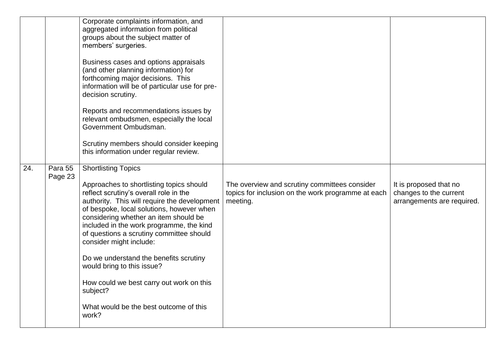|     |                    | Corporate complaints information, and<br>aggregated information from political<br>groups about the subject matter of<br>members' surgeries.<br>Business cases and options appraisals<br>(and other planning information) for<br>forthcoming major decisions. This<br>information will be of particular use for pre-<br>decision scrutiny.<br>Reports and recommendations issues by<br>relevant ombudsmen, especially the local<br>Government Ombudsman.<br>Scrutiny members should consider keeping<br>this information under regular review.                |                                                                                                                 |                                                                                |
|-----|--------------------|--------------------------------------------------------------------------------------------------------------------------------------------------------------------------------------------------------------------------------------------------------------------------------------------------------------------------------------------------------------------------------------------------------------------------------------------------------------------------------------------------------------------------------------------------------------|-----------------------------------------------------------------------------------------------------------------|--------------------------------------------------------------------------------|
| 24. | Para 55<br>Page 23 | <b>Shortlisting Topics</b><br>Approaches to shortlisting topics should<br>reflect scrutiny's overall role in the<br>authority. This will require the development<br>of bespoke, local solutions, however when<br>considering whether an item should be<br>included in the work programme, the kind<br>of questions a scrutiny committee should<br>consider might include:<br>Do we understand the benefits scrutiny<br>would bring to this issue?<br>How could we best carry out work on this<br>subject?<br>What would be the best outcome of this<br>work? | The overview and scrutiny committees consider<br>topics for inclusion on the work programme at each<br>meeting. | It is proposed that no<br>changes to the current<br>arrangements are required. |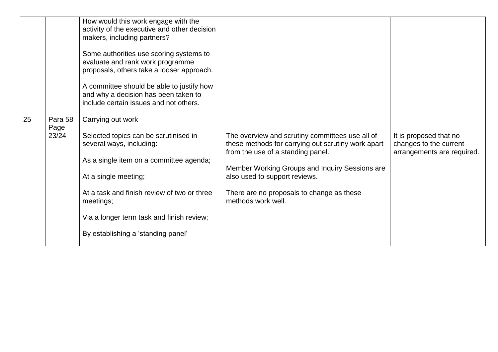|    |                          | How would this work engage with the<br>activity of the executive and other decision<br>makers, including partners?<br>Some authorities use scoring systems to<br>evaluate and rank work programme<br>proposals, others take a looser approach.<br>A committee should be able to justify how<br>and why a decision has been taken to<br>include certain issues and not others. |                                                                                                                                                                                                                                                                                                  |                                                                                |
|----|--------------------------|-------------------------------------------------------------------------------------------------------------------------------------------------------------------------------------------------------------------------------------------------------------------------------------------------------------------------------------------------------------------------------|--------------------------------------------------------------------------------------------------------------------------------------------------------------------------------------------------------------------------------------------------------------------------------------------------|--------------------------------------------------------------------------------|
| 25 | Para 58<br>Page<br>23/24 | Carrying out work<br>Selected topics can be scrutinised in<br>several ways, including:<br>As a single item on a committee agenda;<br>At a single meeting;<br>At a task and finish review of two or three<br>meetings;<br>Via a longer term task and finish review;<br>By establishing a 'standing panel'                                                                      | The overview and scrutiny committees use all of<br>these methods for carrying out scrutiny work apart<br>from the use of a standing panel.<br>Member Working Groups and Inquiry Sessions are<br>also used to support reviews.<br>There are no proposals to change as these<br>methods work well. | It is proposed that no<br>changes to the current<br>arrangements are required. |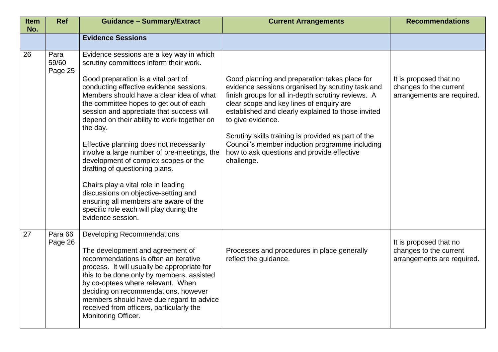| <b>Item</b><br>No. | <b>Ref</b>               | <b>Guidance - Summary/Extract</b>                                                                                                                                                                                                                                                                                                                                                                                                                                                                                                                                                                                                                                                                                             | <b>Current Arrangements</b>                                                                                                                                                                                                                                                                                                                                                                                                                         | <b>Recommendations</b>                                                         |
|--------------------|--------------------------|-------------------------------------------------------------------------------------------------------------------------------------------------------------------------------------------------------------------------------------------------------------------------------------------------------------------------------------------------------------------------------------------------------------------------------------------------------------------------------------------------------------------------------------------------------------------------------------------------------------------------------------------------------------------------------------------------------------------------------|-----------------------------------------------------------------------------------------------------------------------------------------------------------------------------------------------------------------------------------------------------------------------------------------------------------------------------------------------------------------------------------------------------------------------------------------------------|--------------------------------------------------------------------------------|
|                    |                          | <b>Evidence Sessions</b>                                                                                                                                                                                                                                                                                                                                                                                                                                                                                                                                                                                                                                                                                                      |                                                                                                                                                                                                                                                                                                                                                                                                                                                     |                                                                                |
| 26                 | Para<br>59/60<br>Page 25 | Evidence sessions are a key way in which<br>scrutiny committees inform their work.<br>Good preparation is a vital part of<br>conducting effective evidence sessions.<br>Members should have a clear idea of what<br>the committee hopes to get out of each<br>session and appreciate that success will<br>depend on their ability to work together on<br>the day.<br>Effective planning does not necessarily<br>involve a large number of pre-meetings, the<br>development of complex scopes or the<br>drafting of questioning plans.<br>Chairs play a vital role in leading<br>discussions on objective-setting and<br>ensuring all members are aware of the<br>specific role each will play during the<br>evidence session. | Good planning and preparation takes place for<br>evidence sessions organised by scrutiny task and<br>finish groups for all in-depth scrutiny reviews. A<br>clear scope and key lines of enquiry are<br>established and clearly explained to those invited<br>to give evidence.<br>Scrutiny skills training is provided as part of the<br>Council's member induction programme including<br>how to ask questions and provide effective<br>challenge. | It is proposed that no<br>changes to the current<br>arrangements are required. |
| 27                 | Para 66<br>Page 26       | <b>Developing Recommendations</b><br>The development and agreement of<br>recommendations is often an iterative<br>process. It will usually be appropriate for<br>this to be done only by members, assisted<br>by co-optees where relevant. When<br>deciding on recommendations, however<br>members should have due regard to advice<br>received from officers, particularly the<br>Monitoring Officer.                                                                                                                                                                                                                                                                                                                        | Processes and procedures in place generally<br>reflect the guidance.                                                                                                                                                                                                                                                                                                                                                                                | It is proposed that no<br>changes to the current<br>arrangements are required. |